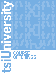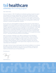## ts*i* healthcare **university** client training program

## Dear Valued Client,

Since our inception in 1997, TSI Healthcare has followed a guiding principle that support and training do not end after implementation. We have long recognized that as your practice continues to change and grow, new staff members must be trained to allow you to attain the maximum return on your investment in human capital, as well as your investment in your IT services. Additionally, and more than ever before, new government requirements and protocols "mandate" the need for your existing staff to continue their education to maintain and expand their utilization.

As such, and in our continuing efforts to bring more value to all of our clients while not losing sight of the "human element", we introduce TSI University™. This new program was designed to accommodate the need for these additional services while maintaining a high sensitivity regarding the financial concerns of paying for on-site training time. After taking suggestions from our existing client base and through our own experiences, we have discovered that a customized combination of classroom and online course offerings will help you and your practice take your IT systems to even higher levels of utilization while keeping your costs to provide such valuable services down. At TSI, our goals are the same as yours—improving YOUR practice efficiency and profitability.

With TSI University™, employees in your office can attend one-on-one specialty or job-specific sessions in our state-of-the-art classroom facilities. If this is not always convenient, you can take advantage of our online courses in the comfort of your own office and at your own pace. In addition, TSI offers other resources for our clients including our Referral Rewards™ and Circle of Excellence™ programs. We invite and encourage you to take advantage of these opportunities and get even more out of your relationship with TSI Healthcare.

Once again, thank you for your valued support and continued confidence in our company. We hope you and your staff will join us for any of our TSI University™ courses, and as always, we appreciate and value your feedback so that we can continue to offer and improve our services for you, our most prized asset.

Sincerely yours,

David Dickson, Jr.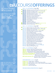## **tsiU**COURSE**OFFERINGS**

*All courses are now offered online, with the exception of EPM 301 and EPM 302.*

*The following courses have the option of being taken online or inthe classroom: EPM 101, EPM 103, EPM 201, EHR 101 and EHR 103.*

*For more information on TSI University and other client programs please contact:*

**2** 03/1/2022 **3** tsiuniversity@tsihealthcare.com

## **EPM**COURSE**OFFERINGS |** Pages **4**&**5**

| EPM 101   EPM Basics for Front Desk Staff   Classroom Optional                                                        |
|-----------------------------------------------------------------------------------------------------------------------|
| <b>EPM 102</b>   EPM Basics Refresher Course   Front Desk Staff                                                       |
| EPM 103   EPM Basics for Billing Staff   Classroom Optional                                                           |
| <b>EPM 104</b>   EPM Basics Refresher Course   Billing Staff                                                          |
| <b>EPM 201</b>   EPM Administrator Training                                                                           |
| <b>EPM 202</b>   EPM Administrator Refresher Course                                                                   |
| <b>EPM 203</b>   Reporting   Accounts Receivable                                                                      |
| <b>EPM 204</b>   Reporting   Monthly Reports                                                                          |
| <b>EPM 205</b>   Automated A/R Follow-up & A/R Tasking                                                                |
| <b>EPM 206</b>   Scheduling Administration                                                                            |
| <b>EPM 207</b>   Person Merge                                                                                         |
| <b>EPM 208   Unapplied Credits</b>                                                                                    |
| <b>EPM 209   Advanced Transactions</b>                                                                                |
|                                                                                                                       |
| <b>EPM 301</b>   Advanced EPM A/R Management   Classroom Only<br><b>EPM 302</b>   Advanced Reporting   Classroom Only |
|                                                                                                                       |

## **EHR**COURSE**OFFERINGS |** Pages **6**&**7**

|  | EHR 101   EHR & ICS Basics for Office Staff   Classroom Optional      |
|--|-----------------------------------------------------------------------|
|  | <b>EHR 102   EHR &amp; ICS Basics Refresher Course   Office Staff</b> |
|  | EHR 103   EHR Basics for Clinical Staff   Classroom Optional          |
|  | <b>EHR 104   EHR Basics Refresher Course   Clinical Staff</b>         |
|  | <b>EHR 201</b>   ePrescribing (eRx)   End-User Training               |
|  | <b>EHR 202   Rheumatology Workflow</b>                                |
|  | <b>EHR 203</b>   Pulmonary & Sleep Medicine Workflow                  |
|  | <b>EHR 204   Family Practice/Internal Medicine Workflow</b>           |
|  | <b>EHR 205   Gynecology (GYN) Patient Encounter Workflow</b>          |
|  | <b>EHR 206   Obstetrics (OB) Patient Encounter Workflow</b>           |
|  | <b>EHR 207</b>   Ophthalmology Patient Encounter Workflow             |
|  | <b>EHR 208   Orthopedics Patient Encounter Workflow</b>               |
|  | <b>EHR 209   Urology Patient Encounter Workflow</b>                   |
|  | <b>EHR 210</b>   Dermatology Patient Encounter Workflow               |
|  | <b>EHR 211   Pediatrics Patient Encounter Workflow</b>                |
|  | <b>EHR 302   Provider Approval Queue</b>                              |
|  | <b>EHR 303   Advanced Tasking &amp; Workflow Manager</b>              |
|  | <b>EHR 304   Basic EHR Reporting   Prerequisite of EHR 305</b>        |
|  | <b>EHR 305   Advanced EHR Reporting Tool</b>                          |

## **MIPS**COURSE**OFFERINGS |** Page **8**

**HQM 101** |NextGen HQM Reporting Module Basics **HQM 201** | NextGen HQM Configuration Overview **HQM 301** | Submitting MIPS Data Through NextGen HQM **Quality 101** | Review Up To 3 Quality Measure Workflows **Promoting Interoperability 101** | Review Of PI Measure Workflows **Improvement Activities 101** | Review Of Practice Specific Reporting Requirements & Documentation **MIPS Audit Assistance 101** | Assistance With A CMS Audit/Data Validation Request For MIPS Or Medicaid

## **SUPPLEMENTARY**COURSES **|** Page **9**

**Availity® 101** | Availity® Basics | Eligibility **Availity® 102** | Availity® Basics | Claims & Remittance (ERA) **Availity® 103** | Basics Refresher Course | Claims, Remittance (ERA) & Eligibility **Availity® 201** | Troubleshooting **Availity® 301** | Advanced Reporting

## **PRICING/SCHEDULE/REGISTRATION |** Pages **9**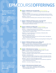# **EPM**COURSE**OFFERINGS**

*All EPM courses are now offered online, with the exception of EPM 301 and EPM 302.*

*The following EPM courses have the option of being taken online or in the classroom: EPM 101, EPM 103 and EPM 201.*

*TSI partners with NextGen® Healthcare to provide the most sophisticated EHR and PM solutions in the industry. For more information, call 800.354.4205.*

### **EPM 101 | EPM Basics for Front Desk Staff** | *Classroom Optional 4 hours | 2, 2-hour sessions | Intended as training for new front desk staff*

SESSION 1 | Check In

• Overview of NextGen® EPM; Appointment scheduling best practices; Autoflow; "Manual" process; Payment entry; Adding payers and other information to charts

SESSION 2 | Check out

• End-of-day reports; Scheduling reports; Recall plans; Wait list; Charge entry

## **EPM 102 | EPM Basics Refresher Course | Front Desk Staff**

*2 hours | 1, 2-hour session | Intended for front desk staff* • Topics to include: Appointment scheduling best practices; Check-in; Check-out; Reporting basics; Recall plans; Wait list

#### **EPM 103 | EPM Basics for Billing Staff** | *Classroom Optional 8 hours | 4, 2-hour sessions | Intended as training for new billing staff*

SESSION 1 | Charge Entry & Payment Entry Processes

• Overview of NextGen® EPM; Making corrections; Encounter maintenance; Patient payments; Unapplied credits

SESSION 2 | Insurance Payments & Coordination of Benefits (COB)

- ERA; Reason codes; Settle status
- SESSION 3 | Billing Best Practices
- Claim edit libraries; Resolving claim errors; EDI file creation; Clearinghouse reports; Daily/Monthly reporting

SESSION 4 | Collection follow-up: Statement processing; Reports; Worklog; Tasks

## **EPM 104 | EPM Basics Refresher Course | Billing Staff**

*2 hours | 1, 2-hour session | Intended for billing staff* • Topics to include: Payment entry process; Insurance payments (ERA, Settle status); Billing best practices; Daily/Monthly reporting; Statement processing; Collection follow-up; Coordination of benefits (COB)

## **EPM 201 | EPM Administrator Training** | *Classroom Optional*

*8 hours | 4, 2-hour sessions | Intended for practice managers hired after go-live or employees moving into administrative roles*

SESSION 1 | Overview & System Administration

- Overview of NextGen® Logic and system; User maintenance; Security settings
- SESSION 2 | File Maintenance
- Provider maintenance; Payer maintenance; Locations; Task types; Libraries (SIM, reason codes, remittance profile, ICD-9 codes); Claim edit; Claim print
- SESSION 3 | Electronic Practice Management (EPM)
- Practice preferences; Enterprise preferences; User preferences; Significant events; Scheduling administration

SESSION 4 | Overview of Reports & Report Logic

## **EPM 202 | EPM Administrator Refresher Course**

- *2 hours | 1, 2-hour session | Intended for practice managers*
- Topics to include: System administrator; File maintenance; Practice Management functions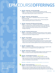## **EPM**COURSE**OFFERINGS**

## **EPM 203 | Reporting | Accounts Receivable**

*2 hours | 1, 2-hour session | Intended for billing managers and staff* • Topics to include: Overview of Accounts Receivable reports; Understanding filter options; Balancing other reports; Common uses

## **EPM 204 | Reporting | Monthly Reports**

*2 hours | 1, 2-hour session | Intended for billing and practice managers and core team staff*

• Topics to include: Overview of monthly reports; Understanding filter options; Balancing other reports; Common uses

## **EPM 205 | Automatic A/R Follow-up & A/R Tasking**

*2 hours | 1, 2-hour session | Intended for staff responsible for setting tasks* • Topics to include: Security and file maintenance set-up; Task types and options, including auto-create and auto-worker functionality; Task work groups; Creating manual tasks; Overview and use of the Workflow Manager; Reporting

## **EPM 206 | Scheduling Administration**

*2 hours | 1, 2-hour session | Intended for staff responsible for provider schedules* • Topics to include: Maintaining provider schedule templates; Using different provider time intervals; Using event chains

## **EPM 207 | Person Merge**

*1 hour | 1, 1-hour session | Intended for practice managers and office staff responsible for managing duplicate person/patient records*

• Topics to include: Security and file maintenance set-up; Person/Patient Merge levels; Process and options for merging duplicate records; Using the Patient Merge function within the BBP; Significant events associated with Patient Merge

## **EPM 208 | Unapplied Credits**

*1 hour | 1, 1-hour session | Intended for billing managers that use unapplied credits* • Best Practices for managing/monitoring unapplied credits

## **EPM 209 | Advanced Transactions**

*1 hour | 1, 1-hour session | Intended for billing managers and other advanced users*

• Topics to include: Corrections; Adjustments; Refunds; Take-backs

## **EPM 301 | A/R Management Seminar** | *Classroom Only 8 hours | 4, 2-hour sessions | Intended for billing managers and staff*

• Topics to include: A/R Reporting, including different reports and using filters; Reducing claim errors; Collection letters; Budget plans; Bad debt process; Coordination of benefits (COB)

*EPM 301 and EPM 302 are intended to be taken together in the classroom.*

## **EPM 302 | Advanced Reporting** | *Classroom Only*

*8 hours | 4, 2-hour sessions | Intended for practice and billing managers*

• Topics to include: Overview of reports and report logic; Daily and monthly balancing reports; Troubleshooting report balancing problems; A/R reporting and balancing; Employee productivity reporting; Using Excel to enhance reporting

*TSI partners with NextGen® Healthcare to provide the most sophisticated EHR and PM solutions in the industry. For more information, call 800.354.4205.*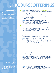## **EHR**COURSE**OFFERINGS**

## *All EHR courses are now offered online.*

*The following EHR courses have the option of being taken online or in the classroom: EHR 101 and*



## **EHR 101 | EHR & ICS Basics for Office Staff** | *Classroom Optional 4 hours | 2, 2-hour sessions | Intended as training for new front desk and EHR staff*

SESSION 1 | Getting Started with NextGen® EHR

• Setting user preferences; Navigating EHR; Viewing Patient Charts in EHR and ICS; Printing and Faxing from EHR and ICS; Phone Call Documentation; Inbox/ Workflow Basics, including Viewing appointment list; Tasking; Patient status

### SESSION 2 | Image Management

• Scanning; Categories; Filing

## *EHR 103.* **EHR 102 | EHR & ICS Basics Refresher Course | Office Staff**

*2 hours | 1, 2-hour session | Intended for front desk and EHR staff* • Topics to include: Viewing Patient Charts; Printing and Faxing; Phone Call Documentation; Inbox/Workflow; Image Management

**EHR 103 | EHR Basics for Clinical Staff** | *Classroom Optional 6 hours | 3, 2-hour sessions | Intended as training for new clinical staff*

- SESSION 1 | Getting Started with NextGen® EHR
- Setting preferences; Navigating EHR; Inbox/Workflow Basics, including Viewing appointment list; Tasking; Patient status

### SESSION 2

• Medications Module; Generating Chart & Exam Notes and Patient Letters; Printing and Faxing from EHR

### SESSION 3

• Using Templates to Document Clinical History; Mock Patient Visits

#### ь **EHR 104 | EHR Basics Refresher Course | Clinical Staff**

- *2 hours | 1, 2-hour session | Intended for clinical staff*
- Topics to include: Using Templates to Document Clinical History; Medications Module and E-Prescribing; Generating Chart & Exam Notes and Patient Letters; Printing and Faxing; Inbox/Workflow

## **EHR 201 | ePrescribing (eRx) | End-User Training**

*1.5 hours | 1, 1.5 hour session | This course is complimentary Intended for core team members, providers and clinical personnel using eRx*  • Introduction to Electronic Prescribing (eRx); Using eRx Services, including New Rx and Refills, Medication History, Formularies and Eligibility; Troubleshooting

### **EHR 203 | Rheumatology Patient Encounter Workflow** *2 hours | 1, 2-hour session | Intended for clinicians and internal practice trainers* • Review Rhuematology Office Visit Workflow; Focus on Efficiency Tools

**EHR 203 | Pulmonary and Sleep Medicine Patient Encounter Workflow** *2 hours | 1, 2-hour session | Intended for clinicians and internal practice trainers* • Review Pulmonary and Sleep Medicine Office Visit Workflow; Focus on Efficiency Tools

#### **EHR 202 | Family Practice/Internal Medicine Workflow** Þ *2 hours | 1, 2-hour session | Intended for clinicians and internal practice trainers* • Review Adult Office Visit Workflow; Focus on Efficiency Tools

**EHR 203 | Gynecology (GYN) Patient Encounter Workflow** *2 hours | 1, 2-hour session | Intended for clinicians and internal practice trainers* • Review GYN Office Visit Workflow; Focus on Efficiency Tools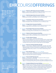## **EHR**COURSE**OFFERINGS EHR**COURSE**OFFERINGS**

*EHR 202, EHR 203, EHR 204, EHR 205, EHR 206, EHR 207, EHR 208 and EHR 209 are intended for practices with KBM 7.9 or above.*



## **EHR 204 | Obstetrics (OB) Patient Encounter Workflow**

- *2 hours | 1, 2-hour session | Intended for clinicians and internal practice trainers* • Review OB Office Visit Workflow; Focus on Efficiency Tools
- **EHR 205 | Ophthalmology Patient Encounter Workflow** *2 hours | 1, 2-hour session | Intended for clinicians and internal practice trainers* • Review Eye Care Office Visit Workflow; Focus on Efficiency Tools
- ь **EHR 206 | Orthopedics Patient Encounter Workflow** *2 hours | 1, 2-hour session | Intended for clinicians and internal practice trainers* • Review Orthopedics Office Visit Workflow; Focus on Efficiency Tools
- **EHR 207 | Urology Patient Encounter Workflow** ь *2 hours | 1, 2-hour session | Intended for clinicians and internal practice trainers* • Review Urology Office Visit Workflow; Focus on Efficiency Tools
- ь **EHR 208 | Dermatology Patient Encounter Workflow** *2 hours | 1, 2-hour session | Intended for clinicians and internal practice trainers* • Review Dermatology Office Visit Workflow; Focus on Efficiency Tools
- ь **EHR 209 | Pediatrics Patient Encounter Workflow** *2 hours | 1, 2-hour session | Intended for clinicians and internal practice trainers* • Review Pediatrics Office Visit Workflow; Focus on Efficiency Tools

#### **EHR 302 | Provider Approval Queue** ь

*2 hours | 1, 2-hour session | Intended for EHR end users* • Topics to include: Designate items to be sent to PAQ (lab results, scanned images, patient documents); Review, accept, reject and reassign items in the PAQ, as well as add comments or send a new task from PAQ; Setup advanced PAQ options, including custom PAQ rules, PAQ out of office status and PAQ delegates.

#### **EHR 303 | Advanced Tasking & Workflow Manager** ь

- *2 hours | 1, 2-hour session | Intended for administrators, core team, and IT Staff* • Topics to include: Overview and best practices of using Workflow Tasking and Workflow Manager; Overview of automation for delegating tasks to other staff during regular daily activity, vacation, or out of office; Understanding of EHR workflows.
- **EHR 304 | Basic EHR Reporting** *| Prerequisite of EHR 305*
	- *2 hours | 1, 2-hour session | Intended for core team and administrators* • Topics to include: Overview of the EHR reporting tool; Understanding reporting
	- filters for clinical data; File maintenance reporting

#### **EHR 305 | Advanced EHR Reporting Tool** ь

- *3 hours | 1, 3-hour session | Intended for 1-2 people from EHR core group or other advanced EHR or technical staff*
- Topics to include: Designing Custom NextGen® EHR Report; Modifying Current Reports | Formatting; Sorting; Filtering; Generating Memorized Reports from EHR

## **EHR 401 | Template Editing & Document Building** | *Classroom Only*

*2 days | Intended for EHR core group or other advanced EHR or technical staff*  • Topics to include: Hands-on Template Building, including Modifying pick lists, Multiple-choice pick lists, Template formatting, Adding and editing fields and Triggers; Customizing EHR Templates to Meet Specific Needs; Creating New Documents; Modifying Documents, including Adding or editing text or macros, Document formatting and Removing document items.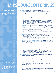## **MIPS**COURSE**OFFERINGS**

*All courses will be held online, and offered at the standard hourly pricing (\$225/hr)*

**HQM 101| NextGen HQM Reporting Module Basics**  $\boxed{m}$ 

*1 hour | 1, 1-hour session | Intended as training for MIPS administration staff* • Training on how to check the last data rate, run summary and patient level Quality Payment Program reports, run flexible date reports at the group and

#### **HQM 201 | NextGen HQM Configuration Overview**  $\sqrt{2}$

individual level, running flexible date reports

- *1 hour | 1, 1-hour session | Intended as training for MIPS administration staff/HQM super user*
- Training on measure and reporting period configurations in preparation for tracking data throughout the year, configuring practice's business schedule, excluding test patients, adding and verifying provider information (email, NPI, TIN), ACO settings if applicable
- **EXAMM 201 | Training On How To Submit MIPS Data Through NextGen HQM** *1 hour | 1 hour | 1, 1-hour session | Intended as training for the MIPS administrative staff/HQM super user responsible for submitting data to CMS through NextGen HQM*
	- Training on how to: configure measures for the Quality, Promoting Interoperability, and Improvement Activities categories, generate the submission file, submit the data to CMS, confirm the submission was received by CMS, check the MIPS Dashboard

#### **Quality 101 | Review Up To 3 Quality Measure Workflows** *1 hour | 1, 1-hour session | Intended as training for MIPS administrative staff member and clinical team*

- Review how to read and analyze the measure whitepapers, workflow review of up to 3 Quality measures (as time permits)
- **Promoting Interoperability Category 101 | Review Of PI Measure Workflows**   $\blacksquare$ *2 hours | 1, 2 hour session | Intended as training for MIPS administrative staff member and clinical team member(s)*
	- Review how to read and analyze the measure whitepapers, workflow review of all PI measures
- **Improvement Activities Category 101 | Review Of Practice Specific Reporting Requirements & Documentation**

*1 hour | 1, 1-hour session | Intended as training for MIPS administrative staff* 

- Reviewing the Improvement Activities reporting requirements, guidance with selecting a practice-specific improvement activity recommended by TSI, and guidance regarding recommended supporting documentation
- **Request For MIPS Or Medicaid**

MIPS Audit Assistance 101 | Assistance With A CMS Audit/Data Validation<br>
Request For MIPS Or Medicaid<br>
4 hours\* | 1, 1-hour sessions + 2 hours to prepare requested documentation<br>
Intended for practice requiring direct assi *4 hours\* | 1, 1-hour sessions + 2 hours to prepare requested documentation Intended for practice requiring direct assistance with a MIPS audit/data validation request for MIPS or Medicaid Promoting Interoperability*

*\*Please note that due to the varying complexity of each audit/data validation request, additional hours may be required.* 

SESSION 1 | Reviewing the audit/data validation request and identify the required documentation

A member of the TSI Healthcare Quality Programs team will spend up to 2 hours obtaining and preparing supporting documentation

SESSION 2 | Reviewing the documetation prepared for the audit/data validation request and review the submission requirements

*TSI partners with NextGen® Healthcare to provide the most sophisticated EHR and PM solutions in the industry. For more information, call 800.354.4205.*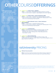# **MIPS**COURSE**OFFERINGS OTHER**COURSE**OFFERINGS**

## *All Supplementary Courses are held online.*

*If you would like more information about our Supplementary Course offerings, please email tsiuniversity@tsihealthcare. com or call 800.354.4205.*

## **Availity® 101 | Availity**® **Basics | Eligibility**

*1 hour | 1, 1-hour session | Intended for new staff and staff new to Availity®* • Topics to include: System navigation; Single eligibility check; Batch eligibility

**Availity® 102 | Availity**® **Basics | Claims & Remittance (ERA)**

*2 hours | 1, 2-hour session | Intended for new staff and staff new to Availity®* • Topics to include: System navigation; Uploading files; Mapping payers; Fixing

- claim errors; Downloading & importing ERAs
- **Availity® 103 | Basics Refresher Course | Claims, Remittance (ERA) & Eligibility**

*2 hours | 1, 2-hour session | Intended for Availity® end users* • Topics to include: System navigation; Uploading files; Mapping payers; Fixing claim errors; Downloading & importing ERAs

## **Availity® 201 | Troubleshooting**

*2 hours | Intended for practice managers and billing managers and staff* • Eligibility errors; Claim errors and claims-related eligibility errors;

 Secondary claim rejects; Missing remits; Timely filing requirement: How Availity® can help

## **Availity® 301 | Advanced Reporting**

*2 hours | Intended for practice managers and billing managers, staff* • A/R and Status Management; Availity® Reports: How and Why; Eligibility: How to Make it Work for Your Practice

## **tsiUniversity** PRICING

## **<b>5225 per hour per practice**

**Note:** Course hours may be purchased up front without having to register for a specific course at that time. Course hours expire one (1) year after purchase.

Training classes are offered at a reduced rate to our Clients under the TSI Software Support Agreement. No refunds. Exchanges will be issued<br>If request for cancellation occurs at least 7 business days in advance of schedul receipt of completed registration form, an email or fax will be returned as confirmation. Complete payment is due 10 days after registration. Failure to make payment will result in registration cancellation.

*TSI partners with NextGen® Healthcare and Availity® to provide the most sophisticated solutions in the industry. For more information, call 800.354.4205.*